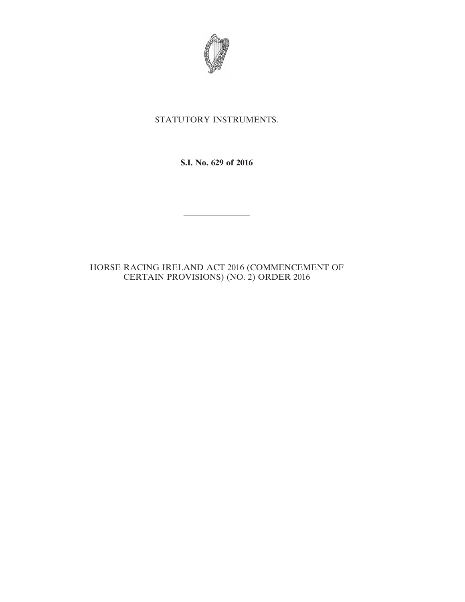

## STATUTORY INSTRUMENTS.

**S.I. No. 629 of 2016**

————————

## HORSE RACING IRELAND ACT 2016 (COMMENCEMENT OF CERTAIN PROVISIONS) (NO. 2) ORDER 2016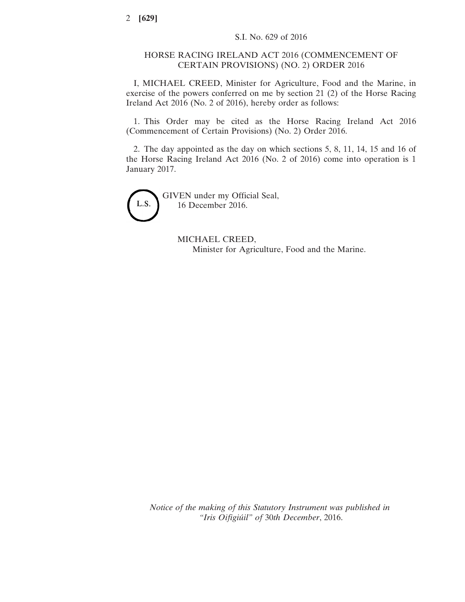## HORSE RACING IRELAND ACT 2016 (COMMENCEMENT OF CERTAIN PROVISIONS) (NO. 2) ORDER 2016

I, MICHAEL CREED, Minister for Agriculture, Food and the Marine, in exercise of the powers conferred on me by section 21 (2) of the Horse Racing Ireland Act 2016 (No. 2 of 2016), hereby order as follows:

1. This Order may be cited as the Horse Racing Ireland Act 2016 (Commencement of Certain Provisions) (No. 2) Order 2016.

2. The day appointed as the day on which sections 5, 8, 11, 14, 15 and 16 of the Horse Racing Ireland Act 2016 (No. 2 of 2016) come into operation is 1 January 2017.

L.S.

GIVEN under my Official Seal, 16 December 2016.

> MICHAEL CREED, Minister for Agriculture, Food and the Marine.

*Notice of the making of this Statutory Instrument was published in "Iris Oifigiúil" of* 30*th December*, 2016.